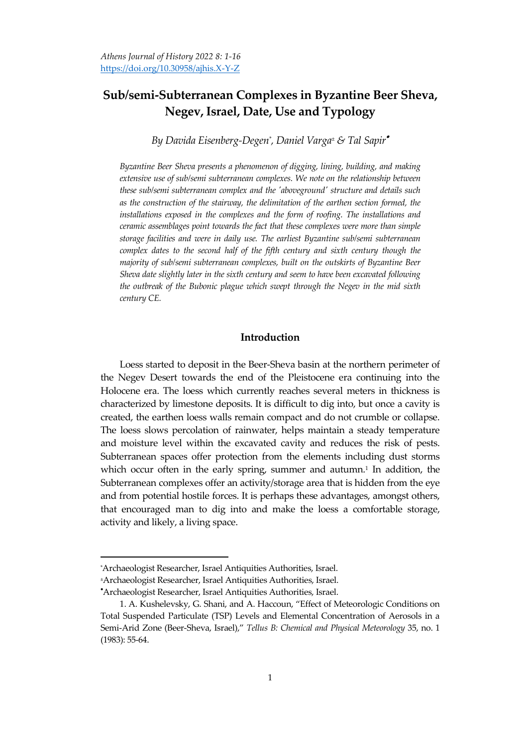# **Sub/semi-Subterranean Complexes in Byzantine Beer Sheva, Negev, Israel, Date, Use and Typology**

*By Davida Eisenberg-Degen\* , Daniel Varga<sup>±</sup> & Tal Sapir*

*Byzantine Beer Sheva presents a phenomenon of digging, lining, building, and making extensive use of sub/semi subterranean complexes. We note on the relationship between these sub/semi subterranean complex and the 'aboveground' structure and details such as the construction of the stairway, the delimitation of the earthen section formed, the installations exposed in the complexes and the form of roofing. The installations and ceramic assemblages point towards the fact that these complexes were more than simple storage facilities and were in daily use. The earliest Byzantine sub/semi subterranean complex dates to the second half of the fifth century and sixth century though the majority of sub/semi subterranean complexes, built on the outskirts of Byzantine Beer Sheva date slightly later in the sixth century and seem to have been excavated following the outbreak of the Bubonic plague which swept through the Negev in the mid sixth century CE.* 

## **Introduction**

Loess started to deposit in the Beer-Sheva basin at the northern perimeter of the Negev Desert towards the end of the Pleistocene era continuing into the Holocene era. The loess which currently reaches several meters in thickness is characterized by limestone deposits. It is difficult to dig into, but once a cavity is created, the earthen loess walls remain compact and do not crumble or collapse. The loess slows percolation of rainwater, helps maintain a steady temperature and moisture level within the excavated cavity and reduces the risk of pests. Subterranean spaces offer protection from the elements including dust storms which occur often in the early spring, summer and autumn.<sup>1</sup> In addition, the Subterranean complexes offer an activity/storage area that is hidden from the eye and from potential hostile forces. It is perhaps these advantages, amongst others, that encouraged man to dig into and make the loess a comfortable storage, activity and likely, a living space.

<sup>\*</sup>Archaeologist Researcher, Israel Antiquities Authorities, Israel.

<sup>±</sup>Archaeologist Researcher, Israel Antiquities Authorities, Israel.

Archaeologist Researcher, Israel Antiquities Authorities, Israel.

<sup>1</sup>. A. Kushelevsky, G. Shani, and A. Haccoun, 'Effect of Meteorologic Conditions on Total Suspended Particulate (TSP) Levels and Elemental Concentration of Aerosols in a Semi-Arid Zone (Beer-Sheva, Israel),' *Tellus B: Chemical and Physical Meteorology* 35, no. 1 (1983): 55-64.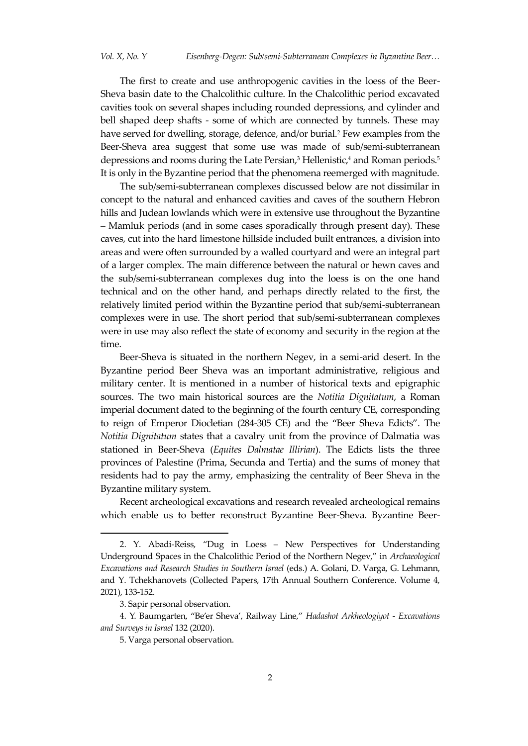The first to create and use anthropogenic cavities in the loess of the Beer-Sheva basin date to the Chalcolithic culture. In the Chalcolithic period excavated cavities took on several shapes including rounded depressions, and cylinder and bell shaped deep shafts - some of which are connected by tunnels. These may have served for dwelling, storage, defence, and/or burial.<sup>2</sup> Few examples from the Beer-Sheva area suggest that some use was made of sub/semi-subterranean depressions and rooms during the Late Persian,<sup>3</sup> Hellenistic,<sup>4</sup> and Roman periods.<sup>5</sup> It is only in the Byzantine period that the phenomena reemerged with magnitude.

The sub/semi-subterranean complexes discussed below are not dissimilar in concept to the natural and enhanced cavities and caves of the southern Hebron hills and Judean lowlands which were in extensive use throughout the Byzantine – Mamluk periods (and in some cases sporadically through present day). These caves, cut into the hard limestone hillside included built entrances, a division into areas and were often surrounded by a walled courtyard and were an integral part of a larger complex. The main difference between the natural or hewn caves and the sub/semi-subterranean complexes dug into the loess is on the one hand technical and on the other hand, and perhaps directly related to the first, the relatively limited period within the Byzantine period that sub/semi-subterranean complexes were in use. The short period that sub/semi-subterranean complexes were in use may also reflect the state of economy and security in the region at the time.

Beer-Sheva is situated in the northern Negev, in a semi-arid desert. In the Byzantine period Beer Sheva was an important administrative, religious and military center. It is mentioned in a number of historical texts and epigraphic sources. The two main historical sources are the *Notitia Dignitatum*, a Roman imperial document dated to the beginning of the fourth century CE, corresponding to reign of Emperor Diocletian (284-305 CE) and the 'Beer Sheva Edicts'. The *Notitia Dignitatum* states that a cavalry unit from the province of Dalmatia was stationed in Beer-Sheva (*Equites Dalmatae Illirian*). The Edicts lists the three provinces of Palestine (Prima, Secunda and Tertia) and the sums of money that residents had to pay the army, emphasizing the centrality of Beer Sheva in the Byzantine military system.

Recent archeological excavations and research revealed archeological remains which enable us to better reconstruct Byzantine Beer-Sheva. Byzantine Beer-

<sup>2.</sup> Y. Abadi-Reiss, 'Dug in Loess – New Perspectives for Understanding Underground Spaces in the Chalcolithic Period of the Northern Negev,' in *Archaeological Excavations and Research Studies in Southern Israel* (eds.) A. Golani, D. Varga, G. Lehmann, and Y. Tchekhanovets (Collected Papers, 17th Annual Southern Conference. Volume 4, 2021), 133-152.

<sup>3.</sup> Sapir personal observation.

<sup>4</sup>. Y. Baumgarten, 'Be'er Sheva', Railway Line,' *Hadashot Arkheologiyot - Excavations and Surveys in Israel* 132 (2020).

<sup>5.</sup> Varga personal observation.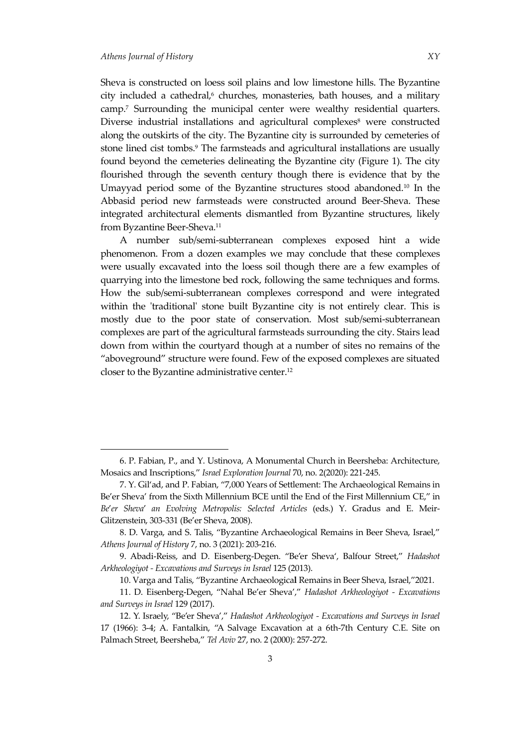Sheva is constructed on loess soil plains and low limestone hills. The Byzantine city included a cathedral,<sup>6</sup> churches, monasteries, bath houses, and a military camp.<sup>7</sup> Surrounding the municipal center were wealthy residential quarters. Diverse industrial installations and agricultural complexes<sup>8</sup> were constructed along the outskirts of the city. The Byzantine city is surrounded by cemeteries of stone lined cist tombs.<sup>9</sup> The farmsteads and agricultural installations are usually found beyond the cemeteries delineating the Byzantine city (Figure 1). The city flourished through the seventh century though there is evidence that by the Umayyad period some of the Byzantine structures stood abandoned.<sup>10</sup> In the Abbasid period new farmsteads were constructed around Beer-Sheva. These integrated architectural elements dismantled from Byzantine structures, likely from Byzantine Beer-Sheva.<sup>11</sup>

A number sub/semi-subterranean complexes exposed hint a wide phenomenon. From a dozen examples we may conclude that these complexes were usually excavated into the loess soil though there are a few examples of quarrying into the limestone bed rock, following the same techniques and forms. How the sub/semi-subterranean complexes correspond and were integrated within the 'traditional' stone built Byzantine city is not entirely clear. This is mostly due to the poor state of conservation. Most sub/semi-subterranean complexes are part of the agricultural farmsteads surrounding the city. Stairs lead down from within the courtyard though at a number of sites no remains of the 'aboveground' structure were found. Few of the exposed complexes are situated closer to the Byzantine administrative center.<sup>12</sup>

<sup>6.</sup> P. Fabian, P., and Y. Ustinova, A Monumental Church in Beersheba: Architecture, Mosaics and Inscriptions,' *Israel Exploration Journal* 70, no. 2(2020): 221-245.

<sup>7.</sup> Y. Gil'ad, and P. Fabian, '7,000 Years of Settlement: The Archaeological Remains in Be'er Sheva' from the Sixth Millennium BCE until the End of the First Millennium CE,' in *Be*'*er Sheva*' *an Evolving Metropolis: Selected Articles* (eds.) Y. Gradus and E. Meir-Glitzenstein, 303-331 (Be'er Sheva, 2008).

<sup>8</sup>. D. Varga, and S. Talis, 'Byzantine Archaeological Remains in Beer Sheva, Israel,' *Athens Journal of History* 7, no. 3 (2021): 203-216.

<sup>9.</sup> Abadi-Reiss, and D. Eisenberg-Degen. 'Be'er Sheva', Balfour Street,' *Hadashot Arkheologiyot - Excavations and Surveys in Israel* 125 (2013).

<sup>10</sup>. Varga and Talis, 'Byzantine Archaeologica**l** Remains in Beer Sheva, Israel,'2021.

<sup>11.</sup> D. Eisenberg-Degen, 'Nahal Be'er Sheva',' *Hadashot Arkheologiyot - Excavations and Surveys in Israel* 129 (2017).

<sup>12.</sup> Y. Israely, 'Be'er Sheva',' *Hadashot Arkheologiyot - Excavations and Surveys in Israel* 17 (1966): 3-4; A. Fantalkin, 'A Salvage Excavation at a 6th-7th Century C.E. Site on Palmach Street, Beersheba,' *Tel Aviv* 27, no. 2 (2000): 257-272.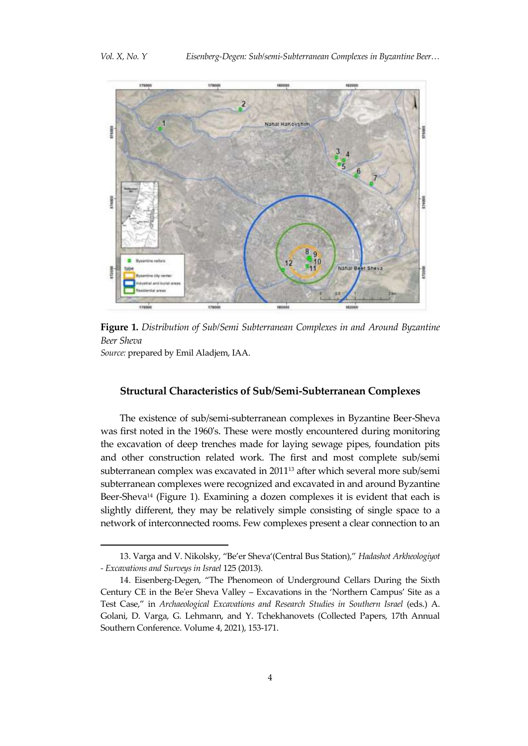

**Figure 1.** *Distribution of Sub/Semi Subterranean Complexes in and Around Byzantine Beer Sheva Source:* prepared by Emil Aladjem, IAA.

## **Structural Characteristics of Sub/Semi-Subterranean Complexes**

The existence of sub/semi-subterranean complexes in Byzantine Beer-Sheva was first noted in the 1960's. These were mostly encountered during monitoring the excavation of deep trenches made for laying sewage pipes, foundation pits and other construction related work. The first and most complete sub/semi subterranean complex was excavated in 2011<sup>13</sup> after which several more sub/semi subterranean complexes were recognized and excavated in and around Byzantine Beer-Sheva<sup>14</sup> (Figure 1). Examining a dozen complexes it is evident that each is slightly different, they may be relatively simple consisting of single space to a network of interconnected rooms. Few complexes present a clear connection to an

<sup>13.</sup> Varga and V. Nikolsky, 'Be'er Sheva'(Central Bus Station),' *Hadashot Arkheologiyot - Excavations and Surveys in Israel* 125 (2013).

<sup>14.</sup> Eisenberg-Degen, 'The Phenomeon of Underground Cellars During the Sixth Century CE in the Be'er Sheva Valley – Excavations in the 'Northern Campus' Site as a Test Case,' in *Archaeological Excavations and Research Studies in Southern Israel* (eds.) A. Golani, D. Varga, G. Lehmann, and Y. Tchekhanovets (Collected Papers, 17th Annual Southern Conference. Volume 4, 2021), 153-171.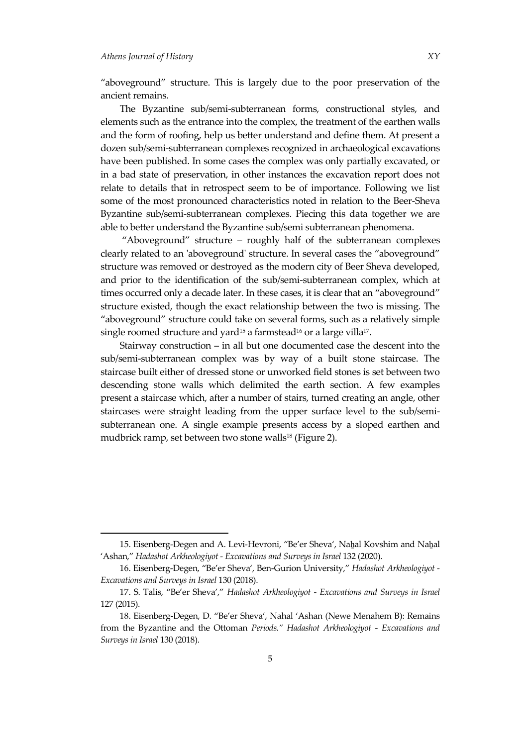'aboveground' structure. This is largely due to the poor preservation of the ancient remains.

The Byzantine sub/semi-subterranean forms, constructional styles, and elements such as the entrance into the complex, the treatment of the earthen walls and the form of roofing, help us better understand and define them. At present a dozen sub/semi-subterranean complexes recognized in archaeological excavations have been published. In some cases the complex was only partially excavated, or in a bad state of preservation, in other instances the excavation report does not relate to details that in retrospect seem to be of importance. Following we list some of the most pronounced characteristics noted in relation to the Beer-Sheva Byzantine sub/semi-subterranean complexes. Piecing this data together we are able to better understand the Byzantine sub/semi subterranean phenomena.

'Aboveground' structure – roughly half of the subterranean complexes clearly related to an 'aboveground' structure. In several cases the 'aboveground' structure was removed or destroyed as the modern city of Beer Sheva developed, and prior to the identification of the sub/semi-subterranean complex, which at times occurred only a decade later. In these cases, it is clear that an 'aboveground' structure existed, though the exact relationship between the two is missing. The 'aboveground' structure could take on several forms, such as a relatively simple single roomed structure and yard $^{15}$  a farmstead $^{16}$  or a large villa $^{17}$ .

Stairway construction – in all but one documented case the descent into the sub/semi-subterranean complex was by way of a built stone staircase. The staircase built either of dressed stone or unworked field stones is set between two descending stone walls which delimited the earth section. A few examples present a staircase which, after a number of stairs, turned creating an angle, other staircases were straight leading from the upper surface level to the sub/semisubterranean one. A single example presents access by a sloped earthen and mudbrick ramp, set between two stone walls<sup>18</sup> (Figure 2).

<sup>15.</sup> Eisenberg-Degen and A. Levi-Hevroni, 'Be'er Sheva', Naẖal Kovshim and Naẖal 'Ashan,' *Hadashot Arkheologiyot - Excavations and Surveys in Israel* 132 (2020).

<sup>16.</sup> Eisenberg-Degen, 'Be'er Sheva', Ben-Gurion University,' *Hadashot Arkheologiyot - Excavations and Surveys in Israel* 130 (2018).

<sup>17</sup>. S. Talis, 'Be'er Sheva',' *Hadashot Arkheologiyot - Excavations and Surveys in Israel* 127 (2015).

<sup>18.</sup> Eisenberg-Degen, D. 'Be'er Sheva', Nahal 'Ashan (Newe Menahem B): Remains from the Byzantine and the Ottoman *Periods." Hadashot Arkheologiyot - Excavations and Surveys in Israel* 130 (2018).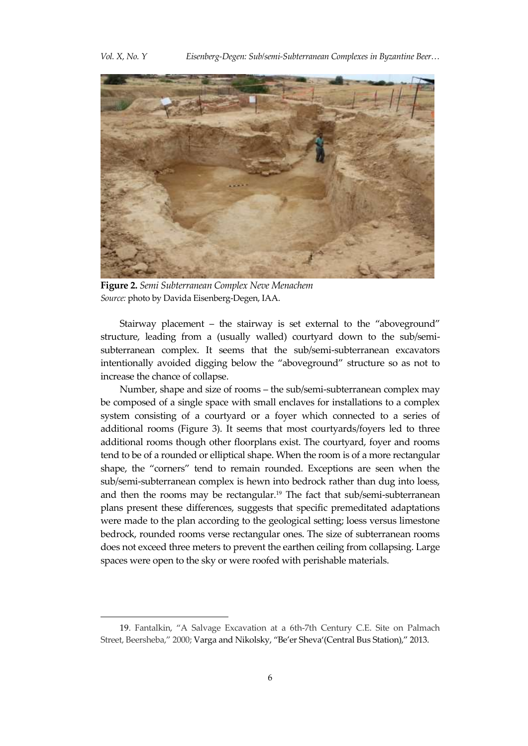

**Figure 2.** *Semi Subterranean Complex Neve Menachem Source:* photo by Davida Eisenberg-Degen, IAA.

Stairway placement – the stairway is set external to the 'aboveground' structure, leading from a (usually walled) courtyard down to the sub/semisubterranean complex. It seems that the sub/semi-subterranean excavators intentionally avoided digging below the 'aboveground' structure so as not to increase the chance of collapse.

Number, shape and size of rooms – the sub/semi-subterranean complex may be composed of a single space with small enclaves for installations to a complex system consisting of a courtyard or a foyer which connected to a series of additional rooms (Figure 3). It seems that most courtyards/foyers led to three additional rooms though other floorplans exist. The courtyard, foyer and rooms tend to be of a rounded or elliptical shape. When the room is of a more rectangular shape, the 'corners' tend to remain rounded. Exceptions are seen when the sub/semi-subterranean complex is hewn into bedrock rather than dug into loess, and then the rooms may be rectangular.<sup>19</sup> The fact that sub/semi-subterranean plans present these differences, suggests that specific premeditated adaptations were made to the plan according to the geological setting; loess versus limestone bedrock, rounded rooms verse rectangular ones. The size of subterranean rooms does not exceed three meters to prevent the earthen ceiling from collapsing. Large spaces were open to the sky or were roofed with perishable materials.

<sup>19.</sup> Fantalkin, 'A Salvage Excavation at a 6th-7th Century C.E. Site on Palmach Street, Beersheba,' 2000; Varga and Nikolsky, 'Be'er Sheva'(Central Bus Station),' 2013.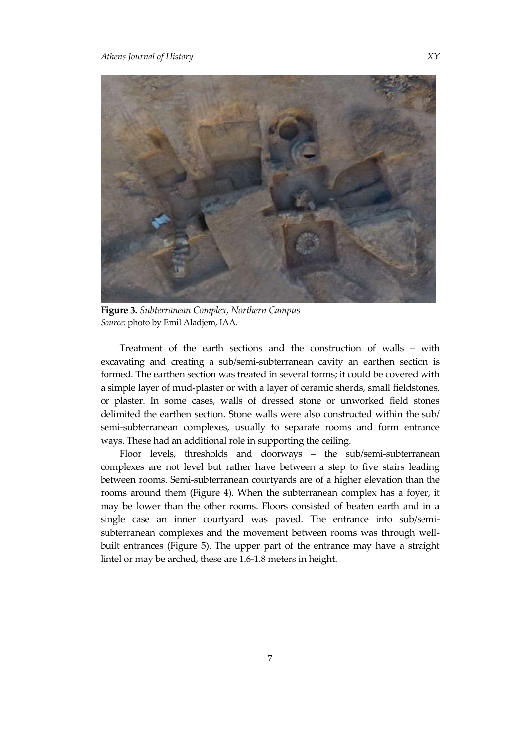

**Figure 3.** *Subterranean Complex, Northern Campus Source:* photo by Emil Aladjem, IAA.

Treatment of the earth sections and the construction of walls – with excavating and creating a sub/semi-subterranean cavity an earthen section is formed. The earthen section was treated in several forms; it could be covered with a simple layer of mud-plaster or with a layer of ceramic sherds, small fieldstones, or plaster. In some cases, walls of dressed stone or unworked field stones delimited the earthen section. Stone walls were also constructed within the sub/ semi-subterranean complexes, usually to separate rooms and form entrance ways. These had an additional role in supporting the ceiling.

Floor levels, thresholds and doorways – the sub/semi-subterranean complexes are not level but rather have between a step to five stairs leading between rooms. Semi-subterranean courtyards are of a higher elevation than the rooms around them (Figure 4). When the subterranean complex has a foyer, it may be lower than the other rooms. Floors consisted of beaten earth and in a single case an inner courtyard was paved. The entrance into sub/semisubterranean complexes and the movement between rooms was through wellbuilt entrances (Figure 5). The upper part of the entrance may have a straight lintel or may be arched, these are 1.6-1.8 meters in height.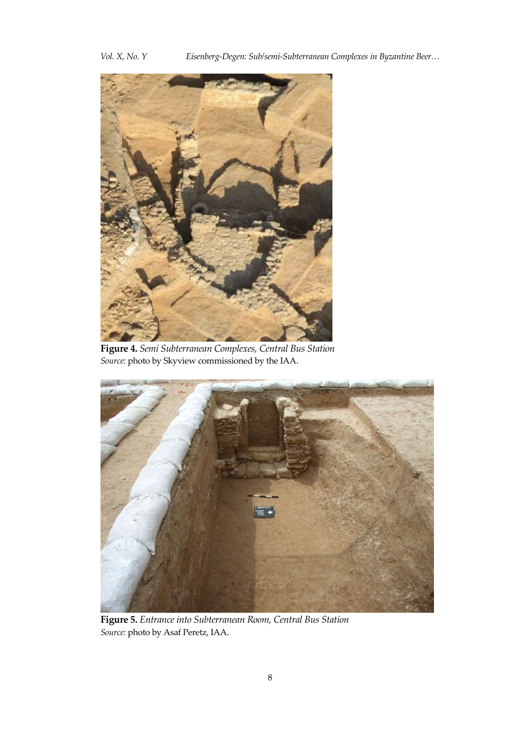*Vol. X, No. Y Eisenberg-Degen: Sub/semi-Subterranean Complexes in Byzantine Beer…*



**Figure 4.** *Semi Subterranean Complexes, Central Bus Station Source:* photo by Skyview commissioned by the IAA.



**Figure 5.** *Entrance into Subterranean Room, Central Bus Station Source:* photo by Asaf Peretz, IAA.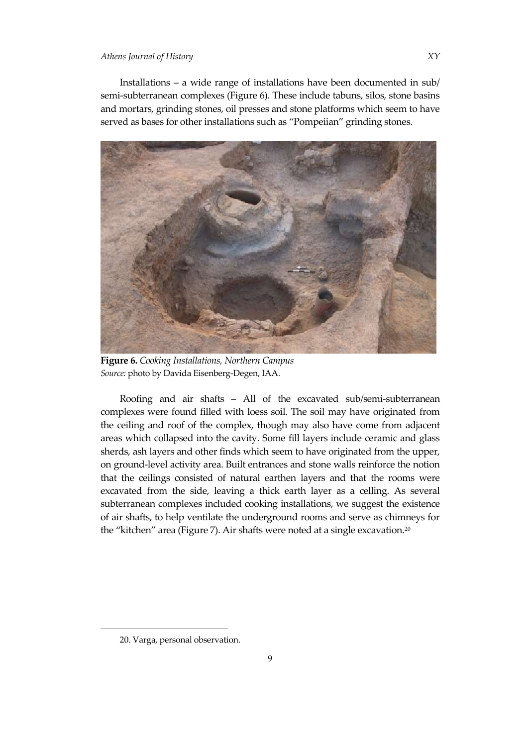Installations – a wide range of installations have been documented in sub/ semi-subterranean complexes (Figure 6). These include tabuns, silos, stone basins and mortars, grinding stones, oil presses and stone platforms which seem to have served as bases for other installations such as 'Pompeiian' grinding stones.



**Figure 6.** *Cooking Installations, Northern Campus Source:* photo by Davida Eisenberg-Degen, IAA.

Roofing and air shafts – All of the excavated sub/semi-subterranean complexes were found filled with loess soil. The soil may have originated from the ceiling and roof of the complex, though may also have come from adjacent areas which collapsed into the cavity. Some fill layers include ceramic and glass sherds, ash layers and other finds which seem to have originated from the upper, on ground-level activity area. Built entrances and stone walls reinforce the notion that the ceilings consisted of natural earthen layers and that the rooms were excavated from the side, leaving a thick earth layer as a celling. As several subterranean complexes included cooking installations, we suggest the existence of air shafts, to help ventilate the underground rooms and serve as chimneys for the "kitchen" area (Figure 7). Air shafts were noted at a single excavation.<sup>20</sup>

<sup>20.</sup> Varga, personal observation.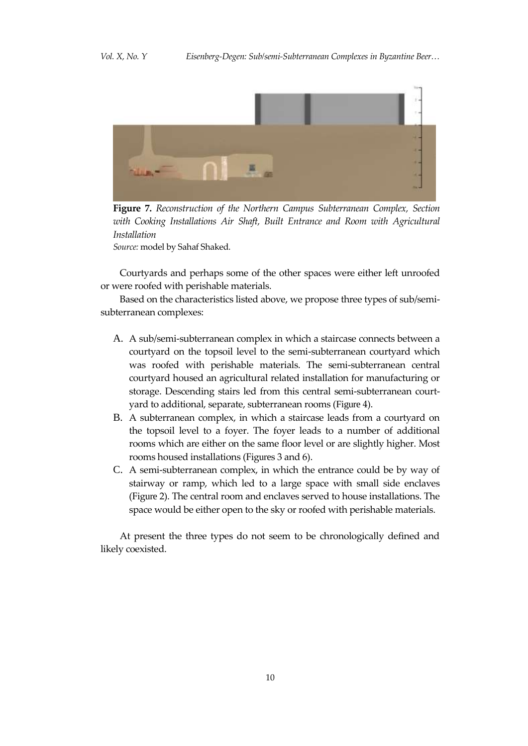

**Figure 7.** *Reconstruction of the Northern Campus Subterranean Complex, Section with Cooking Installations Air Shaft, Built Entrance and Room with Agricultural Installation Source:* model by Sahaf Shaked.

Courtyards and perhaps some of the other spaces were either left unroofed or were roofed with perishable materials.

Based on the characteristics listed above, we propose three types of sub/semisubterranean complexes:

- A. A sub/semi-subterranean complex in which a staircase connects between a courtyard on the topsoil level to the semi-subterranean courtyard which was roofed with perishable materials. The semi-subterranean central courtyard housed an agricultural related installation for manufacturing or storage. Descending stairs led from this central semi-subterranean courtyard to additional, separate, subterranean rooms (Figure 4).
- B. A subterranean complex, in which a staircase leads from a courtyard on the topsoil level to a foyer. The foyer leads to a number of additional rooms which are either on the same floor level or are slightly higher. Most rooms housed installations (Figures 3 and 6).
- C. A semi-subterranean complex, in which the entrance could be by way of stairway or ramp, which led to a large space with small side enclaves (Figure 2). The central room and enclaves served to house installations. The space would be either open to the sky or roofed with perishable materials.

At present the three types do not seem to be chronologically defined and likely coexisted.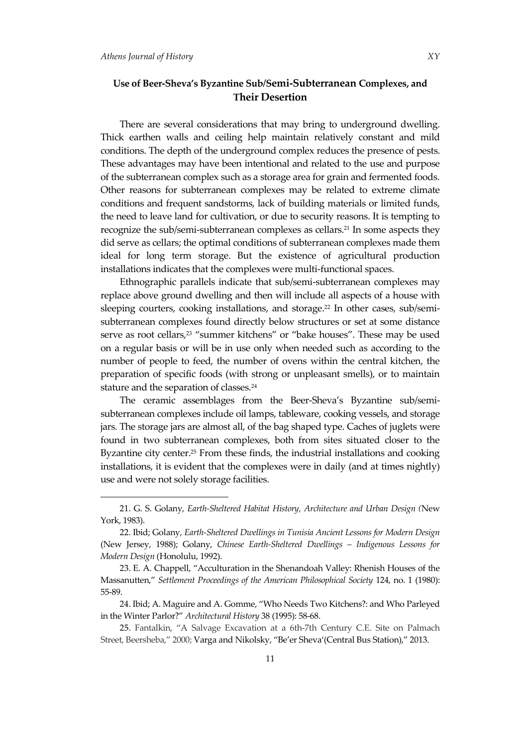## **Use of Beer-Sheva's Byzantine Sub/Semi-Subterranean Complexes, and Their Desertion**

There are several considerations that may bring to underground dwelling. Thick earthen walls and ceiling help maintain relatively constant and mild conditions. The depth of the underground complex reduces the presence of pests. These advantages may have been intentional and related to the use and purpose of the subterranean complex such as a storage area for grain and fermented foods. Other reasons for subterranean complexes may be related to extreme climate conditions and frequent sandstorms, lack of building materials or limited funds, the need to leave land for cultivation, or due to security reasons. It is tempting to recognize the sub/semi-subterranean complexes as cellars.<sup>21</sup> In some aspects they did serve as cellars; the optimal conditions of subterranean complexes made them ideal for long term storage. But the existence of agricultural production installations indicates that the complexes were multi-functional spaces.

Ethnographic parallels indicate that sub/semi-subterranean complexes may replace above ground dwelling and then will include all aspects of a house with sleeping courters, cooking installations, and storage.<sup>22</sup> In other cases, sub/semisubterranean complexes found directly below structures or set at some distance serve as root cellars,<sup>23</sup> "summer kitchens" or "bake houses". These may be used on a regular basis or will be in use only when needed such as according to the number of people to feed, the number of ovens within the central kitchen, the preparation of specific foods (with strong or unpleasant smells), or to maintain stature and the separation of classes.<sup>24</sup>

The ceramic assemblages from the Beer-Sheva's Byzantine sub/semisubterranean complexes include oil lamps, tableware, cooking vessels, and storage jars. The storage jars are almost all, of the bag shaped type. Caches of juglets were found in two subterranean complexes, both from sites situated closer to the Byzantine city center.<sup>25</sup> From these finds, the industrial installations and cooking installations, it is evident that the complexes were in daily (and at times nightly) use and were not solely storage facilities.

<sup>21.</sup> G. S. Golany, *Earth-Sheltered Habitat History, Architecture and Urban Design (*New York, 1983).

<sup>22.</sup> Ibid; Golany, *Earth-Sheltered Dwellings in Tunisia Ancient Lessons for Modern Design* (New Jersey, 1988); Golany, *Chinese Earth-Sheltered Dwellings – Indigenous Lessons for Modern Design* (Honolulu, 1992).

<sup>23.</sup> E. A. Chappell, 'Acculturation in the Shenandoah Valley: Rhenish Houses of the Massanutten,' *Settlement Proceedings of the American Philosophical Society* 124, no. 1 (1980): 55-89.

<sup>24.</sup> Ibid; A. Maguire and A. Gomme, 'Who Needs Two Kitchens?: and Who Parleyed in the Winter Parlor?' *Architectural History* 38 (1995): 58-68.

<sup>25.</sup> Fantalkin, 'A Salvage Excavation at a 6th-7th Century C.E. Site on Palmach Street, Beersheba,' 2000; Varga and Nikolsky, 'Be'er Sheva'(Central Bus Station),' 2013.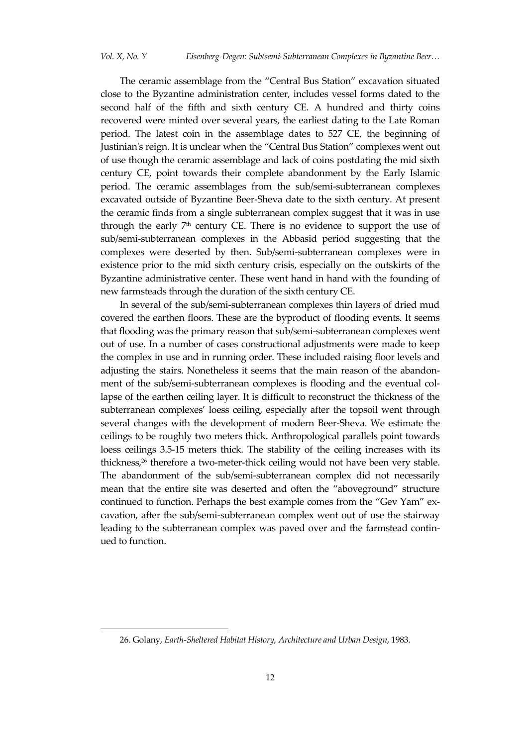The ceramic assemblage from the 'Central Bus Station' excavation situated close to the Byzantine administration center, includes vessel forms dated to the second half of the fifth and sixth century CE. A hundred and thirty coins recovered were minted over several years, the earliest dating to the Late Roman period. The latest coin in the assemblage dates to 527 CE, the beginning of Justinian's reign. It is unclear when the 'Central Bus Station' complexes went out of use though the ceramic assemblage and lack of coins postdating the mid sixth century CE, point towards their complete abandonment by the Early Islamic period. The ceramic assemblages from the sub/semi-subterranean complexes excavated outside of Byzantine Beer-Sheva date to the sixth century. At present the ceramic finds from a single subterranean complex suggest that it was in use through the early  $7<sup>th</sup>$  century CE. There is no evidence to support the use of sub/semi-subterranean complexes in the Abbasid period suggesting that the complexes were deserted by then. Sub/semi-subterranean complexes were in existence prior to the mid sixth century crisis, especially on the outskirts of the Byzantine administrative center. These went hand in hand with the founding of new farmsteads through the duration of the sixth century CE.

In several of the sub/semi-subterranean complexes thin layers of dried mud covered the earthen floors. These are the byproduct of flooding events. It seems that flooding was the primary reason that sub/semi-subterranean complexes went out of use. In a number of cases constructional adjustments were made to keep the complex in use and in running order. These included raising floor levels and adjusting the stairs. Nonetheless it seems that the main reason of the abandonment of the sub/semi-subterranean complexes is flooding and the eventual collapse of the earthen ceiling layer. It is difficult to reconstruct the thickness of the subterranean complexes' loess ceiling, especially after the topsoil went through several changes with the development of modern Beer-Sheva. We estimate the ceilings to be roughly two meters thick. Anthropological parallels point towards loess ceilings 3.5-15 meters thick. The stability of the ceiling increases with its thickness,<sup>26</sup> therefore a two-meter-thick ceiling would not have been very stable. The abandonment of the sub/semi-subterranean complex did not necessarily mean that the entire site was deserted and often the 'aboveground' structure continued to function. Perhaps the best example comes from the 'Gev Yam' excavation, after the sub/semi-subterranean complex went out of use the stairway leading to the subterranean complex was paved over and the farmstead continued to function.

<sup>26.</sup> Golany, *Earth-Sheltered Habitat History, Architecture and Urban Design*, 1983.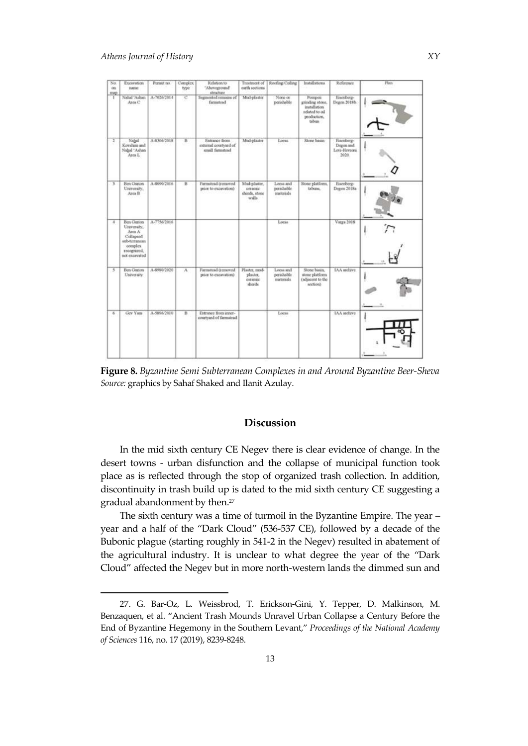| Na<br>on<br>map | <b>Excavation</b><br><b>Battle</b>                                                                                    | Permit no.  | Complex.<br>type | Relation to<br>"Abovegovad?"<br>structure                 | Trestovert of<br>earth sections.                  | Roofing Colling                          | Installations                                                                                   | Reference                                       | Plan. |
|-----------------|-----------------------------------------------------------------------------------------------------------------------|-------------|------------------|-----------------------------------------------------------|---------------------------------------------------|------------------------------------------|-------------------------------------------------------------------------------------------------|-------------------------------------------------|-------|
| Ŧ               | Nabal 'Ashan<br>Area C                                                                                                | A-7026/2014 | $\mathbf{C}$     | Segmented remains of<br>famutrad                          | Mial-plaster                                      | None or<br>perisheble                    | Pempen<br>grinding stone.<br>installation <sup>1</sup><br>Iso of bidder<br>production.<br>tabun | Eisenberg-<br>Degen 2018b.                      |       |
| Ŧ               | Nahal<br>Kovshim and<br>Nahal 'Ashan<br>Area L                                                                        | A-8306/2018 | в                | Entrance from<br>external courtyard of<br>small farmstrad | Mad-plaster                                       | Loess                                    | Storat basen                                                                                    | Eisenberg-<br>Degen and<br>Levi-Heyroni<br>2020 |       |
| x               | Ben Gunon<br>University.<br>Area B                                                                                    | A-8090-2016 | В                | Furnstead (removed<br>prior to excavation)                | Mud-plaster.<br>ceramic<br>sherds, stone<br>walls | Locss and<br>perishable.<br>trasterials. | Stone platform.<br>tabuns.                                                                      | Eisenberg-<br>Degen 2018a                       |       |
| a.              | <b>Ben Gurion</b><br>University,<br>Area A<br>Collapsed<br>sidb-terraments<br>complex<br>recognized.<br>not excavated | A-7756/2016 |                  |                                                           |                                                   | Loria                                    |                                                                                                 | Varga 2018                                      |       |
| 5               | <b>Bon Gunon</b><br>University.                                                                                       | A-8980/2020 | $\lambda$        | Farmstead (removed)<br>prior to excavation).              | Plaster, mud-<br>plaster.<br>commic<br>shreds.    | Locsa and<br>perishable<br>materials.    | Stone basen.<br>stone platform<br>(adjacent to the<br>acction)                                  | <b>IAA</b> ancheve                              |       |
| e.              | Gev Yam                                                                                                               | A-5896/2010 | $\mathbf{B}$     | Entrance from inner-<br>courtyied of farmstead            |                                                   | Loess                                    |                                                                                                 | IAA archive                                     |       |
|                 |                                                                                                                       |             |                  |                                                           |                                                   |                                          |                                                                                                 |                                                 |       |

**Figure 8.** *Byzantine Semi Subterranean Complexes in and Around Byzantine Beer-Sheva Source:* graphics by Sahaf Shaked and Ilanit Azulay.

## **Discussion**

In the mid sixth century CE Negev there is clear evidence of change. In the desert towns - urban disfunction and the collapse of municipal function took place as is reflected through the stop of organized trash collection. In addition, discontinuity in trash build up is dated to the mid sixth century CE suggesting a gradual abandonment by then.<sup>27</sup>

The sixth century was a time of turmoil in the Byzantine Empire. The year – year and a half of the 'Dark Cloud' (536-537 CE), followed by a decade of the Bubonic plague (starting roughly in 541-2 in the Negev) resulted in abatement of the agricultural industry. It is unclear to what degree the year of the 'Dark Cloud' affected the Negev but in more north-western lands the dimmed sun and

<sup>27.</sup> G. Bar-Oz, L. Weissbrod, T. Erickson-Gini, Y. Tepper, D. Malkinson, M. Benzaquen, et al. 'Ancient Trash Mounds Unravel Urban Collapse a Century Before the End of Byzantine Hegemony in the Southern Levant,' *Proceedings of the National Academy of Sciences* 116, no. 17 (2019), 8239-8248.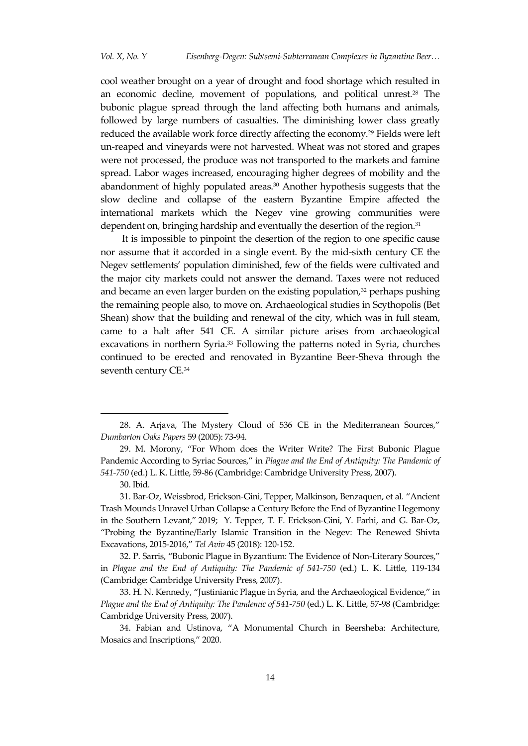cool weather brought on a year of drought and food shortage which resulted in an economic decline, movement of populations, and political unrest.<sup>28</sup> The bubonic plague spread through the land affecting both humans and animals, followed by large numbers of casualties. The diminishing lower class greatly reduced the available work force directly affecting the economy.<sup>29</sup> Fields were left un-reaped and vineyards were not harvested. Wheat was not stored and grapes were not processed, the produce was not transported to the markets and famine spread. Labor wages increased, encouraging higher degrees of mobility and the abandonment of highly populated areas.<sup>30</sup> Another hypothesis suggests that the slow decline and collapse of the eastern Byzantine Empire affected the international markets which the Negev vine growing communities were dependent on, bringing hardship and eventually the desertion of the region.<sup>31</sup>

It is impossible to pinpoint the desertion of the region to one specific cause nor assume that it accorded in a single event. By the mid-sixth century CE the Negev settlements' population diminished, few of the fields were cultivated and the major city markets could not answer the demand. Taxes were not reduced and became an even larger burden on the existing population, $32$  perhaps pushing the remaining people also, to move on. Archaeological studies in Scythopolis (Bet Shean) show that the building and renewal of the city, which was in full steam, came to a halt after 541 CE. A similar picture arises from archaeological excavations in northern Syria.<sup>33</sup> Following the patterns noted in Syria, churches continued to be erected and renovated in Byzantine Beer-Sheva through the seventh century CE.<sup>34</sup>

<sup>28.</sup> A. Arjava, The Mystery Cloud of 536 CE in the Mediterranean Sources,' *Dumbarton Oaks Papers* 59 (2005): 73-94.

<sup>29</sup>. M. Morony, 'For Whom does the Writer Write? The First Bubonic Plague Pandemic According to Syriac Sources,' in *Plague and the End of Antiquity: The Pandemic of 541-750* (ed.) L. K. Little, 59-86 (Cambridge: Cambridge University Press, 2007).

<sup>30.</sup> Ibid.

<sup>31.</sup> Bar-Oz, Weissbrod, Erickson-Gini, Tepper, Malkinson, Benzaquen, et al. 'Ancient Trash Mounds Unravel Urban Collapse a Century Before the End of Byzantine Hegemony in the Southern Levant,' 2019; Y. Tepper, T. F. Erickson-Gini, Y. Farhi, and G. Bar-Oz, 'Probing the Byzantine/Early Islamic Transition in the Negev: The Renewed Shivta Excavations, 2015-2016,' *Tel Aviv* 45 (2018): 120-152.

<sup>32</sup>. P. Sarris, 'Bubonic Plague in Byzantium: The Evidence of Non-Literary Sources,' in *Plague and the End of Antiquity: The Pandemic of 541-750* (ed.) L. K. Little, 119-134 (Cambridge: Cambridge University Press, 2007).

<sup>33</sup>. H. N. Kennedy, 'Justinianic Plague in Syria, and the Archaeological Evidence,' in *Plague and the End of Antiquity: The Pandemic of 541-750* (ed.) L. K. Little, 57-98 (Cambridge: Cambridge University Press, 2007).

<sup>34</sup>. Fabian and Ustinova, 'A Monumental Church in Beersheba: Architecture, Mosaics and Inscriptions,' 2020.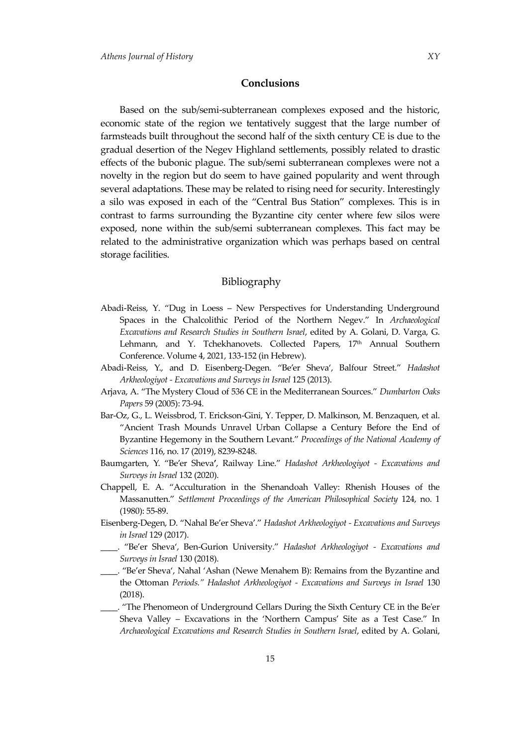## **Conclusions**

Based on the sub/semi-subterranean complexes exposed and the historic, economic state of the region we tentatively suggest that the large number of farmsteads built throughout the second half of the sixth century CE is due to the gradual desertion of the Negev Highland settlements, possibly related to drastic effects of the bubonic plague. The sub/semi subterranean complexes were not a novelty in the region but do seem to have gained popularity and went through several adaptations. These may be related to rising need for security. Interestingly a silo was exposed in each of the 'Central Bus Station' complexes. This is in contrast to farms surrounding the Byzantine city center where few silos were exposed, none within the sub/semi subterranean complexes. This fact may be related to the administrative organization which was perhaps based on central storage facilities.

#### Bibliography

- Abadi-Reiss, Y. 'Dug in Loess New Perspectives for Understanding Underground Spaces in the Chalcolithic Period of the Northern Negev.' In *Archaeological Excavations and Research Studies in Southern Israel*, edited by A. Golani, D. Varga, G. Lehmann, and Y. Tchekhanovets. Collected Papers, 17<sup>th</sup> Annual Southern Conference. Volume 4, 2021, 133-152 (in Hebrew).
- Abadi-Reiss, Y., and D. Eisenberg-Degen. 'Be'er Sheva', Balfour Street.' *Hadashot Arkheologiyot - Excavations and Surveys in Israel* 125 (2013).
- Arjava, A. 'The Mystery Cloud of 536 CE in the Mediterranean Sources.' *Dumbarton Oaks Papers* 59 (2005): 73-94.
- Bar-Oz, G., L. Weissbrod, T. Erickson-Gini, Y. Tepper, D. Malkinson, M. Benzaquen, et al. 'Ancient Trash Mounds Unravel Urban Collapse a Century Before the End of Byzantine Hegemony in the Southern Levant.' *Proceedings of the National Academy of Sciences* 116, no. 17 (2019), 8239-8248.
- Baumgarten, Y. 'Be'er Sheva**'**, Railway Line.' *Hadashot Arkheologiyot - Excavations and Surveys in Israel* 132 (2020).
- Chappell, E. A. 'Acculturation in the Shenandoah Valley: Rhenish Houses of the Massanutten.' *Settlement Proceedings of the American Philosophical Society* 124, no. 1 (1980): 55-89.
- Eisenberg-Degen, D. 'Nahal Be'er Sheva'.' *Hadashot Arkheologiyot - Excavations and Surveys in Israel* 129 (2017).
- \_\_\_\_. 'Be'er Sheva', Ben-Gurion University.' *Hadashot Arkheologiyot - Excavations and Surveys in Israel* 130 (2018).
- \_\_\_\_. 'Be'er Sheva', Nahal 'Ashan (Newe Menahem B): Remains from the Byzantine and the Ottoman *Periods." Hadashot Arkheologiyot - Excavations and Surveys in Israel* 130 (2018).
- \_\_\_\_. 'The Phenomeon of Underground Cellars During the Sixth Century CE in the Be'er Sheva Valley – Excavations in the 'Northern Campus' Site as a Test Case.' In *Archaeological Excavations and Research Studies in Southern Israel*, edited by A. Golani,